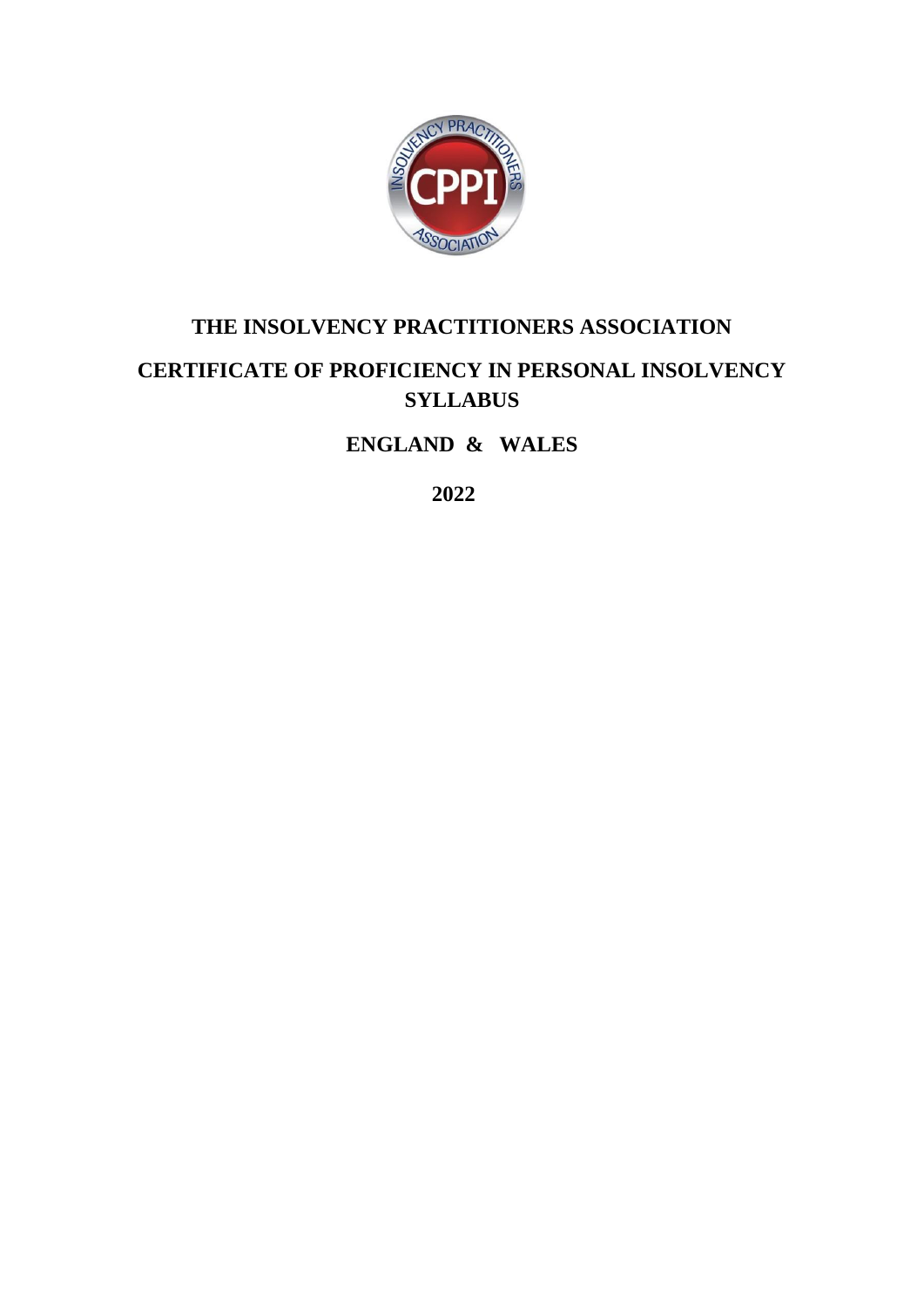

# **THE INSOLVENCY PRACTITIONERS ASSOCIATION CERTIFICATE OF PROFICIENCY IN PERSONAL INSOLVENCY SYLLABUS**

**ENGLAND & WALES**

**2022**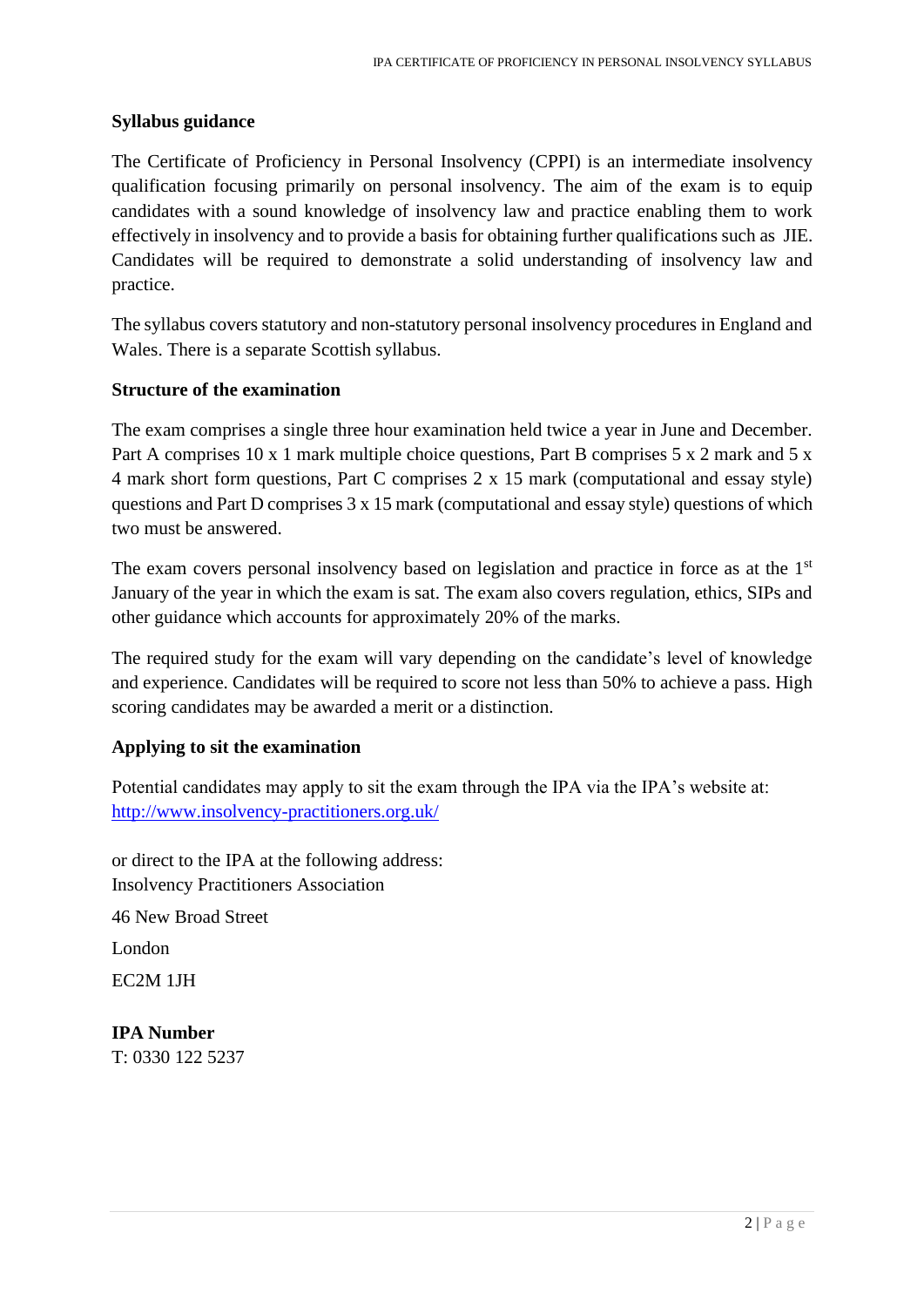# **Syllabus guidance**

The Certificate of Proficiency in Personal Insolvency (CPPI) is an intermediate insolvency qualification focusing primarily on personal insolvency. The aim of the exam is to equip candidates with a sound knowledge of insolvency law and practice enabling them to work effectively in insolvency and to provide a basis for obtaining further qualifications such as JIE. Candidates will be required to demonstrate a solid understanding of insolvency law and practice.

The syllabus covers statutory and non-statutory personal insolvency procedures in England and Wales. There is a separate Scottish syllabus.

# **Structure of the examination**

The exam comprises a single three hour examination held twice a year in June and December. Part A comprises 10 x 1 mark multiple choice questions, Part B comprises 5 x 2 mark and 5 x 4 mark short form questions, Part C comprises 2 x 15 mark (computational and essay style) questions and Part D comprises 3 x 15 mark (computational and essay style) questions of which two must be answered.

The exam covers personal insolvency based on legislation and practice in force as at the 1<sup>st</sup> January of the year in which the exam is sat. The exam also covers regulation, ethics, SIPs and other guidance which accounts for approximately 20% of the marks.

The required study for the exam will vary depending on the candidate's level of knowledge and experience. Candidates will be required to score not less than 50% to achieve a pass. High scoring candidates may be awarded a merit or a distinction.

# **Applying to sit the examination**

Potential candidates may apply to sit the exam through the IPA via the IPA's website at: <http://www.insolvency-practitioners.org.uk/>

or direct to the IPA at the following address: Insolvency Practitioners Association 46 New Broad Street London EC2M 1JH

**IPA Number** T: 0330 122 5237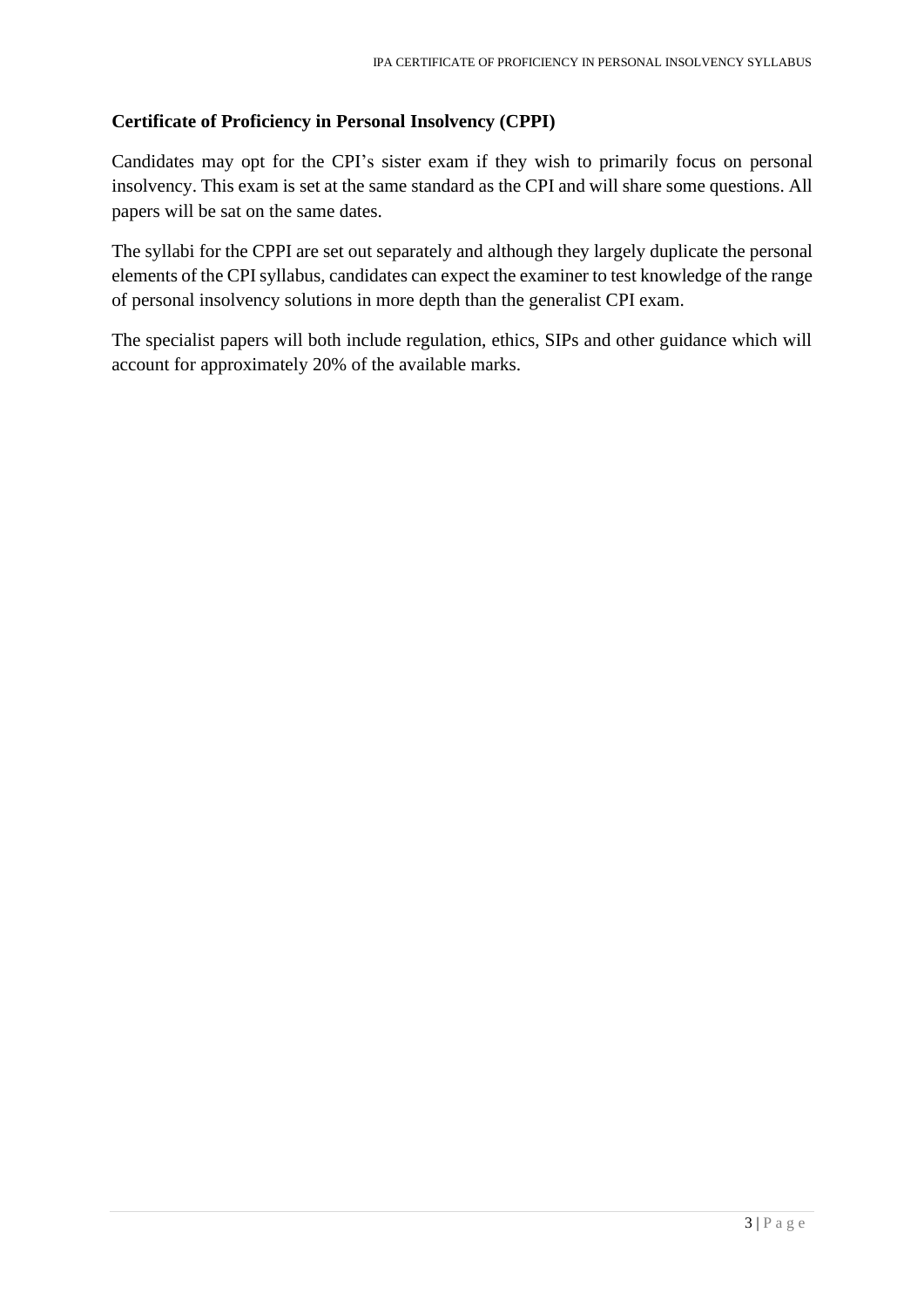## **Certificate of Proficiency in Personal Insolvency (CPPI)**

Candidates may opt for the CPI's sister exam if they wish to primarily focus on personal insolvency. This exam is set at the same standard as the CPI and will share some questions. All papers will be sat on the same dates.

The syllabi for the CPPI are set out separately and although they largely duplicate the personal elements of the CPI syllabus, candidates can expect the examiner to test knowledge of the range of personal insolvency solutions in more depth than the generalist CPI exam.

The specialist papers will both include regulation, ethics, SIPs and other guidance which will account for approximately 20% of the available marks.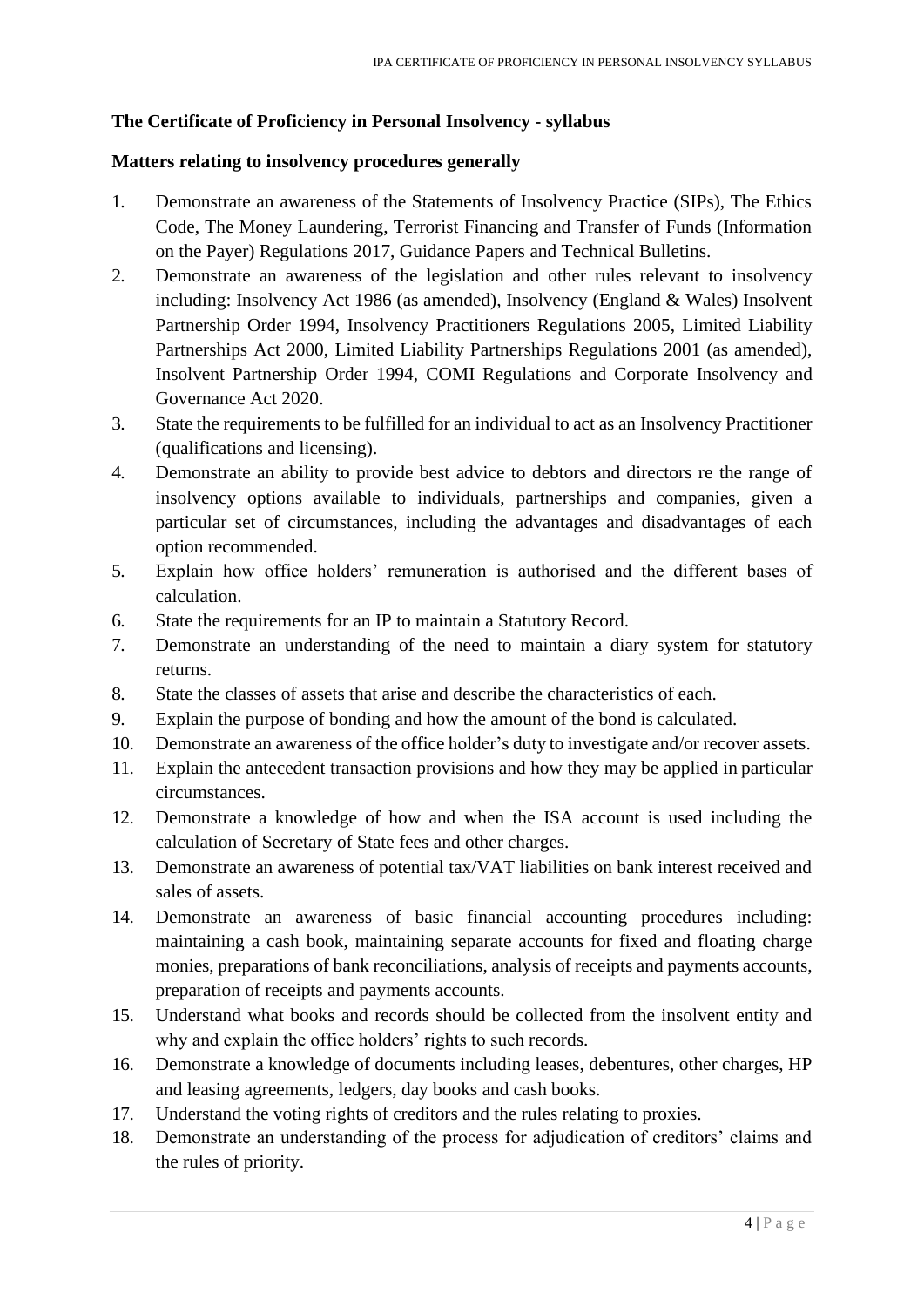# **The Certificate of Proficiency in Personal Insolvency - syllabus**

## **Matters relating to insolvency procedures generally**

- 1. Demonstrate an awareness of the Statements of Insolvency Practice (SIPs), The Ethics Code, The Money Laundering, Terrorist Financing and Transfer of Funds (Information on the Payer) Regulations 2017, Guidance Papers and Technical Bulletins.
- 2. Demonstrate an awareness of the legislation and other rules relevant to insolvency including: Insolvency Act 1986 (as amended), Insolvency (England & Wales) Insolvent Partnership Order 1994, Insolvency Practitioners Regulations 2005, Limited Liability Partnerships Act 2000, Limited Liability Partnerships Regulations 2001 (as amended), Insolvent Partnership Order 1994, COMI Regulations and Corporate Insolvency and Governance Act 2020.
- 3. State the requirements to be fulfilled for an individual to act as an Insolvency Practitioner (qualifications and licensing).
- 4. Demonstrate an ability to provide best advice to debtors and directors re the range of insolvency options available to individuals, partnerships and companies, given a particular set of circumstances, including the advantages and disadvantages of each option recommended.
- 5. Explain how office holders' remuneration is authorised and the different bases of calculation.
- 6. State the requirements for an IP to maintain a Statutory Record.
- 7. Demonstrate an understanding of the need to maintain a diary system for statutory returns.
- 8. State the classes of assets that arise and describe the characteristics of each.
- 9. Explain the purpose of bonding and how the amount of the bond is calculated.
- 10. Demonstrate an awareness of the office holder's duty to investigate and/or recover assets.
- 11. Explain the antecedent transaction provisions and how they may be applied in particular circumstances.
- 12. Demonstrate a knowledge of how and when the ISA account is used including the calculation of Secretary of State fees and other charges.
- 13. Demonstrate an awareness of potential tax/VAT liabilities on bank interest received and sales of assets.
- 14. Demonstrate an awareness of basic financial accounting procedures including: maintaining a cash book, maintaining separate accounts for fixed and floating charge monies, preparations of bank reconciliations, analysis of receipts and payments accounts, preparation of receipts and payments accounts.
- 15. Understand what books and records should be collected from the insolvent entity and why and explain the office holders' rights to such records.
- 16. Demonstrate a knowledge of documents including leases, debentures, other charges, HP and leasing agreements, ledgers, day books and cash books.
- 17. Understand the voting rights of creditors and the rules relating to proxies.
- 18. Demonstrate an understanding of the process for adjudication of creditors' claims and the rules of priority.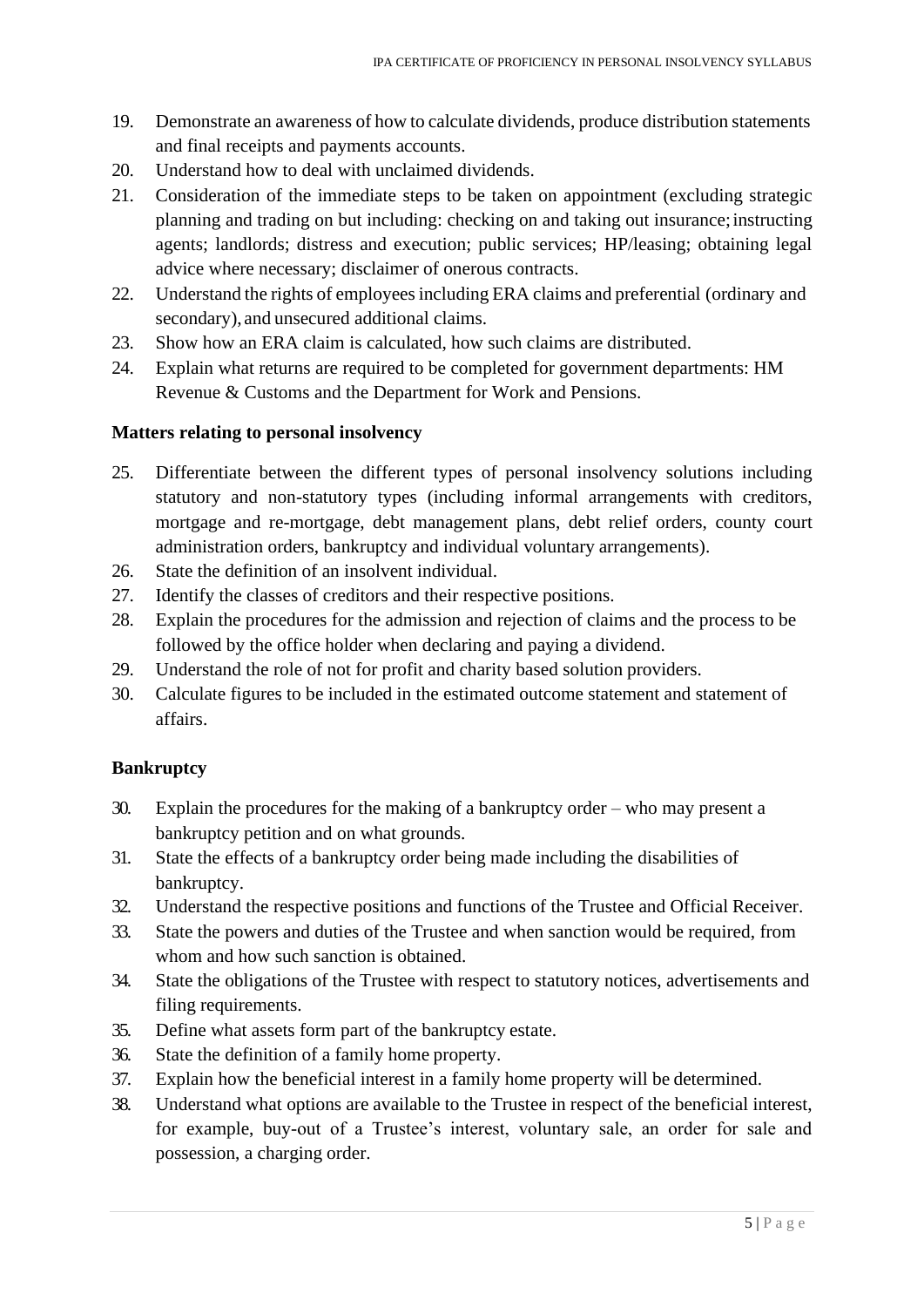- 19. Demonstrate an awareness of how to calculate dividends, produce distribution statements and final receipts and payments accounts.
- 20. Understand how to deal with unclaimed dividends.
- 21. Consideration of the immediate steps to be taken on appointment (excluding strategic planning and trading on but including: checking on and taking out insurance;instructing agents; landlords; distress and execution; public services; HP/leasing; obtaining legal advice where necessary; disclaimer of onerous contracts.
- 22. Understand the rights of employees including ERA claims and preferential (ordinary and secondary), and unsecured additional claims.
- 23. Show how an ERA claim is calculated, how such claims are distributed.
- 24. Explain what returns are required to be completed for government departments: HM Revenue & Customs and the Department for Work and Pensions.

## **Matters relating to personal insolvency**

- 25. Differentiate between the different types of personal insolvency solutions including statutory and non-statutory types (including informal arrangements with creditors, mortgage and re-mortgage, debt management plans, debt relief orders, county court administration orders, bankruptcy and individual voluntary arrangements).
- 26. State the definition of an insolvent individual.
- 27. Identify the classes of creditors and their respective positions.
- 28. Explain the procedures for the admission and rejection of claims and the process to be followed by the office holder when declaring and paying a dividend.
- 29. Understand the role of not for profit and charity based solution providers.
- 30. Calculate figures to be included in the estimated outcome statement and statement of affairs.

## **Bankruptcy**

- 30. Explain the procedures for the making of a bankruptcy order who may present a bankruptcy petition and on what grounds.
- 31. State the effects of a bankruptcy order being made including the disabilities of bankruptcy.
- 32. Understand the respective positions and functions of the Trustee and Official Receiver.
- 33. State the powers and duties of the Trustee and when sanction would be required, from whom and how such sanction is obtained.
- 34. State the obligations of the Trustee with respect to statutory notices, advertisements and filing requirements.
- 35. Define what assets form part of the bankruptcy estate.
- 36. State the definition of a family home property.
- 37. Explain how the beneficial interest in a family home property will be determined.
- 38. Understand what options are available to the Trustee in respect of the beneficial interest, for example, buy-out of a Trustee's interest, voluntary sale, an order for sale and possession, a charging order.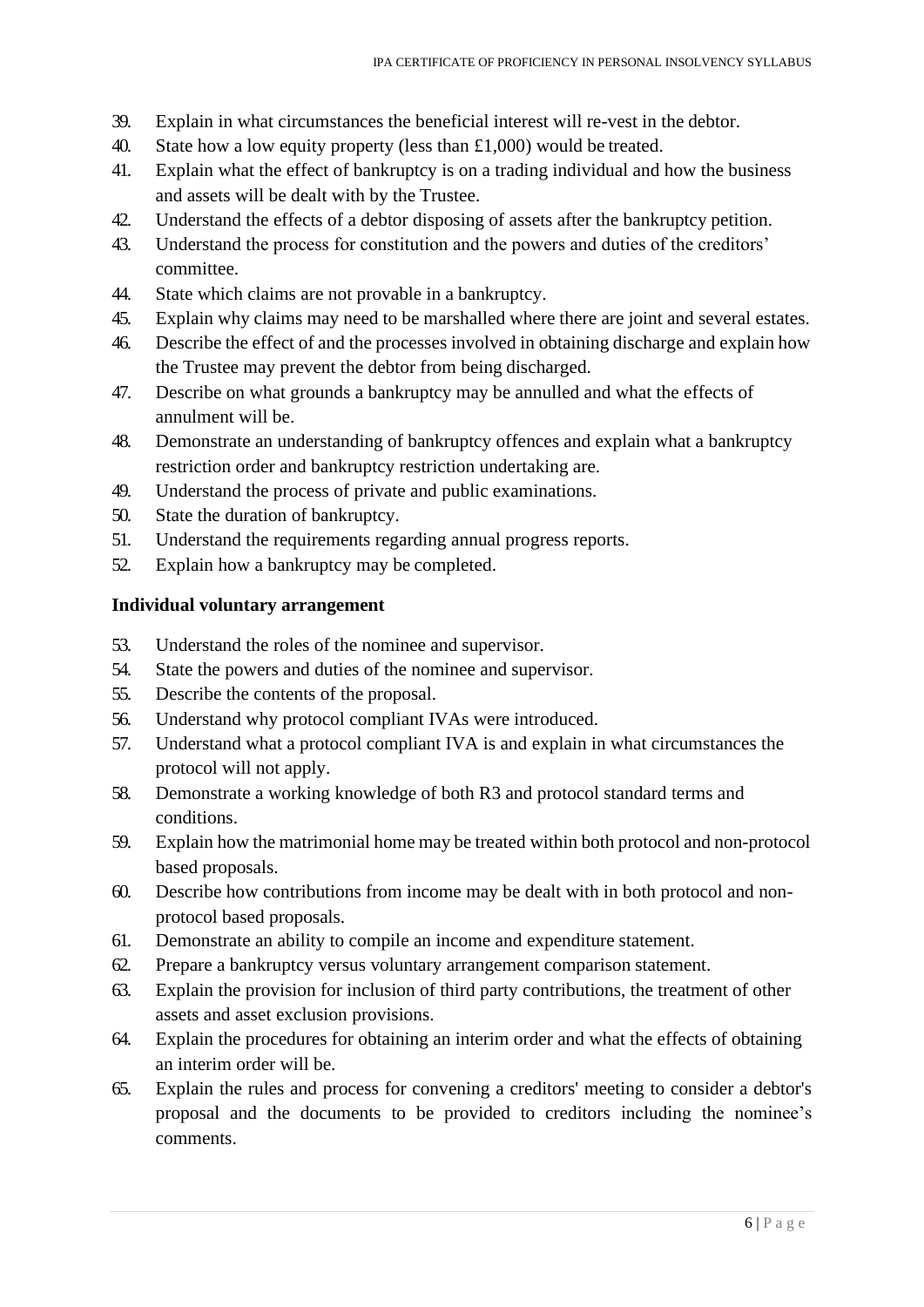- 39. Explain in what circumstances the beneficial interest will re-vest in the debtor.
- 40. State how a low equity property (less than  $£1,000$ ) would be treated.
- 41. Explain what the effect of bankruptcy is on a trading individual and how the business and assets will be dealt with by the Trustee.
- 42. Understand the effects of a debtor disposing of assets after the bankruptcy petition.
- 43. Understand the process for constitution and the powers and duties of the creditors' committee.
- 44. State which claims are not provable in a bankruptcy.
- 45. Explain why claims may need to be marshalled where there are joint and several estates.
- 46. Describe the effect of and the processes involved in obtaining discharge and explain how the Trustee may prevent the debtor from being discharged.
- 47. Describe on what grounds a bankruptcy may be annulled and what the effects of annulment will be.
- 48. Demonstrate an understanding of bankruptcy offences and explain what a bankruptcy restriction order and bankruptcy restriction undertaking are.
- 49. Understand the process of private and public examinations.
- 50. State the duration of bankruptcy.
- 51. Understand the requirements regarding annual progress reports.
- 52. Explain how a bankruptcy may be completed.

## **Individual voluntary arrangement**

- 53. Understand the roles of the nominee and supervisor.
- 54. State the powers and duties of the nominee and supervisor.
- 55. Describe the contents of the proposal.
- 56. Understand why protocol compliant IVAs were introduced.
- 57. Understand what a protocol compliant IVA is and explain in what circumstances the protocol will not apply.
- 58. Demonstrate a working knowledge of both R3 and protocol standard terms and conditions.
- 59. Explain how the matrimonial home may be treated within both protocol and non-protocol based proposals.
- 60. Describe how contributions from income may be dealt with in both protocol and nonprotocol based proposals.
- 61. Demonstrate an ability to compile an income and expenditure statement.
- 62. Prepare a bankruptcy versus voluntary arrangement comparison statement.
- 63. Explain the provision for inclusion of third party contributions, the treatment of other assets and asset exclusion provisions.
- 64. Explain the procedures for obtaining an interim order and what the effects of obtaining an interim order will be.
- 65. Explain the rules and process for convening a creditors' meeting to consider a debtor's proposal and the documents to be provided to creditors including the nominee's comments.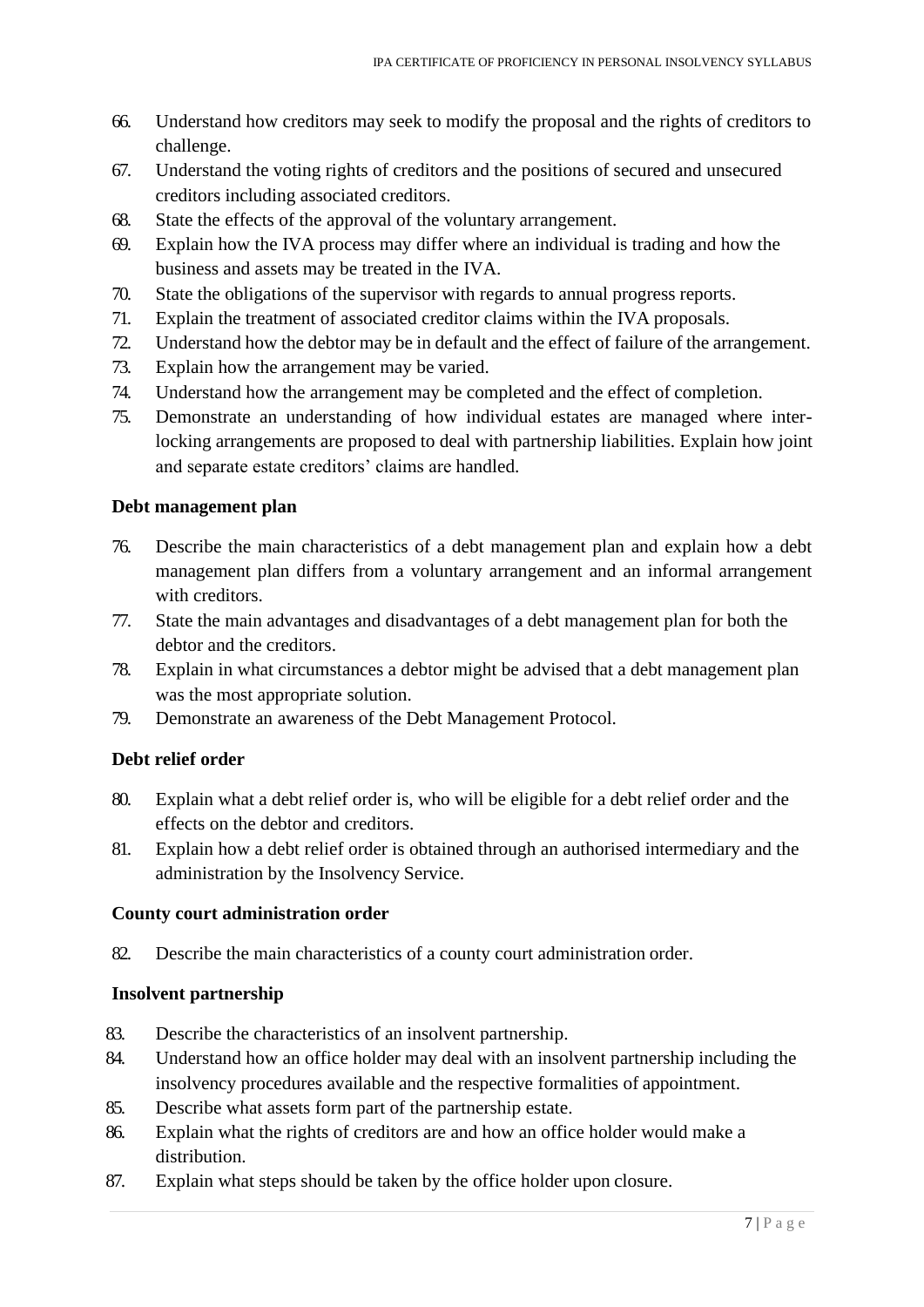- 66. Understand how creditors may seek to modify the proposal and the rights of creditors to challenge.
- 67. Understand the voting rights of creditors and the positions of secured and unsecured creditors including associated creditors.
- 68. State the effects of the approval of the voluntary arrangement.
- 69. Explain how the IVA process may differ where an individual is trading and how the business and assets may be treated in the IVA.
- 70. State the obligations of the supervisor with regards to annual progress reports.
- 71. Explain the treatment of associated creditor claims within the IVA proposals.
- 72. Understand how the debtor may be in default and the effect of failure of the arrangement.
- 73. Explain how the arrangement may be varied.
- 74. Understand how the arrangement may be completed and the effect of completion.
- 75. Demonstrate an understanding of how individual estates are managed where interlocking arrangements are proposed to deal with partnership liabilities. Explain how joint and separate estate creditors' claims are handled.

## **Debt management plan**

- 76. Describe the main characteristics of a debt management plan and explain how a debt management plan differs from a voluntary arrangement and an informal arrangement with creditors.
- 77. State the main advantages and disadvantages of a debt management plan for both the debtor and the creditors.
- 78. Explain in what circumstances a debtor might be advised that a debt management plan was the most appropriate solution.
- 79. Demonstrate an awareness of the Debt Management Protocol.

## **Debt relief order**

- 80. Explain what a debt relief order is, who will be eligible for a debt relief order and the effects on the debtor and creditors.
- 81. Explain how a debt relief order is obtained through an authorised intermediary and the administration by the Insolvency Service.

## **County court administration order**

82. Describe the main characteristics of a county court administration order.

## **Insolvent partnership**

- 83. Describe the characteristics of an insolvent partnership.
- 84. Understand how an office holder may deal with an insolvent partnership including the insolvency procedures available and the respective formalities of appointment.
- 85. Describe what assets form part of the partnership estate.
- 86. Explain what the rights of creditors are and how an office holder would make a distribution.
- 87. Explain what steps should be taken by the office holder upon closure.